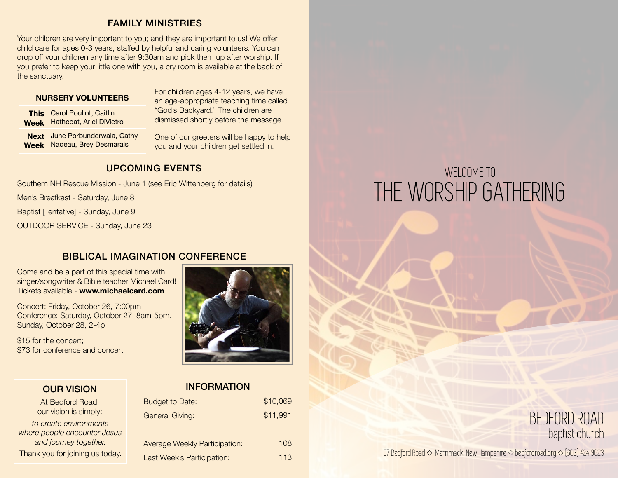#### FAMILY MINISTRIES

Your children are very important to you; and they are important to us! We offer child care for ages 0-3 years, staffed by helpful and caring volunteers. You can drop off your children any time after 9:30am and pick them up after worship. If you prefer to keep your little one with you, a cry room is available at the back of the sanctuary.

#### **NURSERY VOLUNTEERS**

**This**  Carol Pouliot, Caitlin **Week** Hathcoat, Ariel DiVietro

**Next**  June Porbunderwala, Cathy **Week** Nadeau, Brey Desmarais

For children ages 4-12 years, we have an age-appropriate teaching time called "God's Backyard." The children are dismissed shortly before the message.

One of our greeters will be happy to help you and your children get settled in.

### UPCOMING EVENTS

Southern NH Rescue Mission - June 1 (see Eric Wittenberg for details)

Men's Breafkast - Saturday, June 8

Baptist [Tentative] - Sunday, June 9

OUTDOOR SERVICE - Sunday, June 23

#### BIBLICAL IMAGINATION CONFERENCE

Come and be a part of this special time with singer/songwriter & Bible teacher Michael Card! Tickets available - **www.michaelcard.com**

Concert: Friday, October 26, 7:00pm Conference: Saturday, October 27, 8am-5pm, Sunday, October 28, 2-4p

\$15 for the concert; \$73 for conference and concert



#### OUR VISION

At Bedford Road, our vision is simply:

*to create environments where people encounter Jesus and journey together.*  Thank you for joining us today.

#### INFORMATION

| <b>Budget to Date:</b>               | \$10,069 |
|--------------------------------------|----------|
| <b>General Giving:</b>               | \$11,991 |
|                                      |          |
| <b>Average Weekly Participation:</b> | 108      |
| Last Week's Participation:           | 113      |

# WELCOME TO THE WORSHIP GATHERING

## BEDFORD ROAD baptist church

67 Bedford Road ◇ Merrimack, New Hampshire ◇ bedfordroad.org ◇ (603) 424.9623